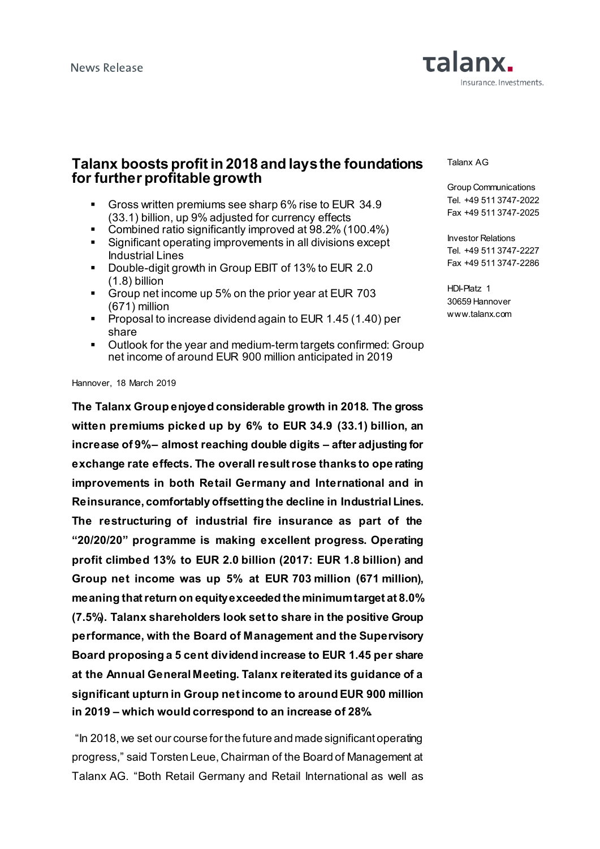

# **Talanx boosts profit in 2018 and lays the foundations for further profitable growth**

- Gross written premiums see sharp 6% rise to EUR 34.9 (33.1) billion, up 9% adjusted for currency effects
- Combined ratio significantly improved at 98.2% (100.4%)
- Significant operating improvements in all divisions except Industrial Lines
- Double-digit growth in Group EBIT of 13% to EUR 2.0 (1.8) billion
- Group net income up 5% on the prior year at EUR 703 (671) million
- **Proposal to increase dividend again to EUR 1.45 (1.40) per** share
- Outlook for the year and medium-term targets confirmed: Group net income of around EUR 900 million anticipated in 2019

Hannover, 18 March 2019

**The Talanx Group enjoyed considerable growth in 2018. The gross witten premiums picked up by 6% to EUR 34.9 (33.1) billion, an increase of 9%– almost reaching double digits – after adjusting for exchange rate effects. The overall result rose thanks to ope rating improvements in both Retail Germany and International and in Reinsurance, comfortably offsetting the decline in Industrial Lines. The restructuring of industrial fire insurance as part of the "20/20/20" programme is making excellent progress. Operating profit climbed 13% to EUR 2.0 billion (2017: EUR 1.8 billion) and Group net income was up 5% at EUR 703 million (671 million), meaning that return on equity exceeded the minimum target at 8.0% (7.5%). Talanx shareholders look set to share in the positive Group performance, with the Board of Management and the Supervisory Board proposing a 5 cent dividend increase to EUR 1.45 per share at the Annual General Meeting. Talanx reiterated its guidance of a significant upturn in Group net income to around EUR 900 million in 2019 – which would correspond to an increase of 28%.**

"In 2018, we set our course for the future and made significant operating progress," said Torsten Leue, Chairman of the Board of Management at Talanx AG. "Both Retail Germany and Retail International as well as

Talanx AG

Group Communications Tel. +49 511 3747-2022 Fax +49 511 3747-2025

Investor Relations Tel. +49 511 3747-2227 Fax +49 511 3747-2286

HDI-Platz 1 30659 Hannover www.talanx.com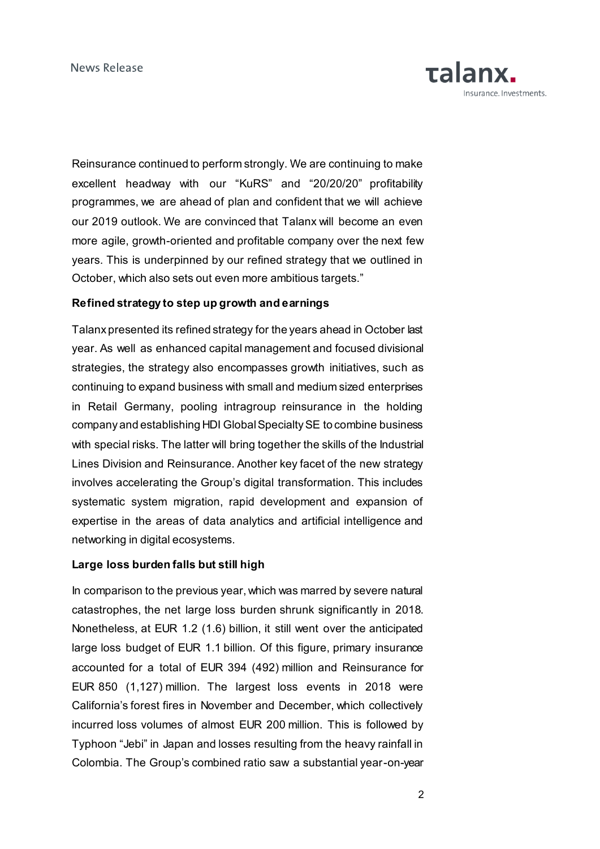Reinsurance continued to perform strongly. We are continuing to make excellent headway with our "KuRS" and "20/20/20" profitability programmes, we are ahead of plan and confident that we will achieve our 2019 outlook. We are convinced that Talanx will become an even more agile, growth-oriented and profitable company over the next few years. This is underpinned by our refined strategy that we outlined in October, which also sets out even more ambitious targets."

### **Refined strategy to step up growth and earnings**

Talanx presented its refined strategy for the years ahead in October last year. As well as enhanced capital management and focused divisional strategies, the strategy also encompasses growth initiatives, such as continuing to expand business with small and medium sized enterprises in Retail Germany, pooling intragroup reinsurance in the holding company and establishing HDI Global Specialty SE to combine business with special risks. The latter will bring together the skills of the Industrial Lines Division and Reinsurance. Another key facet of the new strategy involves accelerating the Group's digital transformation. This includes systematic system migration, rapid development and expansion of expertise in the areas of data analytics and artificial intelligence and networking in digital ecosystems.

#### **Large loss burden falls but still high**

In comparison to the previous year, which was marred by severe natural catastrophes, the net large loss burden shrunk significantly in 2018. Nonetheless, at EUR 1.2 (1.6) billion, it still went over the anticipated large loss budget of EUR 1.1 billion. Of this figure, primary insurance accounted for a total of EUR 394 (492) million and Reinsurance for EUR 850 (1,127) million. The largest loss events in 2018 were California's forest fires in November and December, which collectively incurred loss volumes of almost EUR 200 million. This is followed by Typhoon "Jebi" in Japan and losses resulting from the heavy rainfall in Colombia. The Group's combined ratio saw a substantial year-on-year

**Talanx.**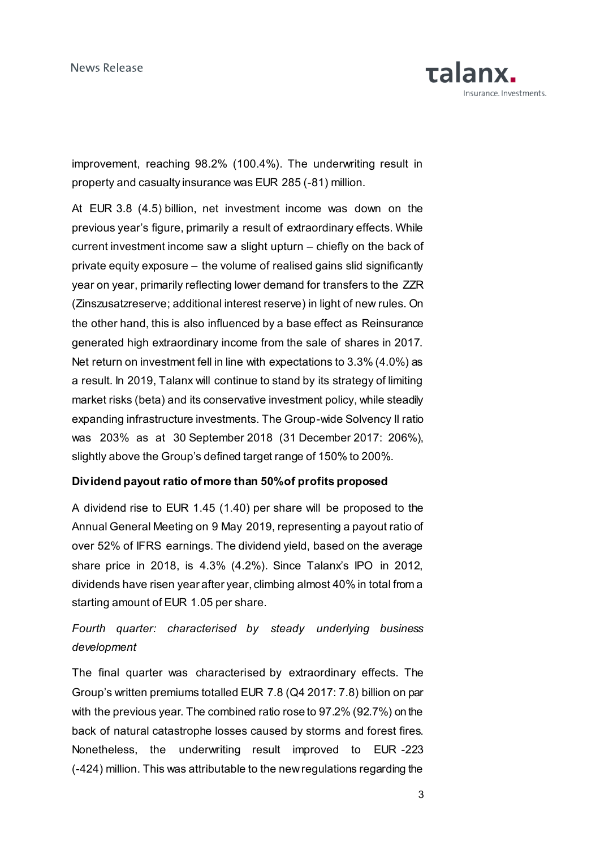

improvement, reaching 98.2% (100.4%). The underwriting result in property and casualty insurance was EUR 285 (-81) million.

At EUR 3.8 (4.5) billion, net investment income was down on the previous year's figure, primarily a result of extraordinary effects. While current investment income saw a slight upturn – chiefly on the back of private equity exposure – the volume of realised gains slid significantly year on year, primarily reflecting lower demand for transfers to the ZZR (Zinszusatzreserve; additional interest reserve) in light of new rules. On the other hand, this is also influenced by a base effect as Reinsurance generated high extraordinary income from the sale of shares in 2017. Net return on investment fell in line with expectations to 3.3% (4.0%) as a result. In 2019, Talanx will continue to stand by its strategy of limiting market risks (beta) and its conservative investment policy, while steadily expanding infrastructure investments. The Group-wide Solvency II ratio was 203% as at 30 September 2018 (31 December 2017: 206%), slightly above the Group's defined target range of 150% to 200%.

## **Dividend payout ratio of more than 50% of profits proposed**

A dividend rise to EUR 1.45 (1.40) per share will be proposed to the Annual General Meeting on 9 May 2019, representing a payout ratio of over 52% of IFRS earnings. The dividend yield, based on the average share price in 2018, is 4.3% (4.2%). Since Talanx's IPO in 2012, dividends have risen year after year, climbing almost 40% in total from a starting amount of EUR 1.05 per share.

# *Fourth quarter: characterised by steady underlying business development*

The final quarter was characterised by extraordinary effects. The Group's written premiums totalled EUR 7.8 (Q4 2017: 7.8) billion on par with the previous year. The combined ratio rose to 97.2% (92.7%) on the back of natural catastrophe losses caused by storms and forest fires. Nonetheless, the underwriting result improved to EUR -223 (-424) million. This was attributable to the new regulations regarding the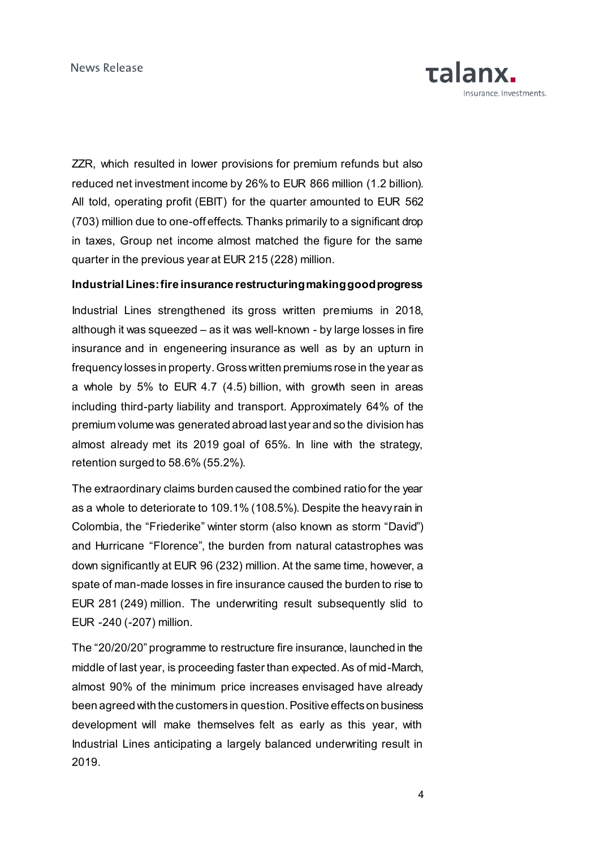ZZR, which resulted in lower provisions for premium refunds but also reduced net investment income by 26% to EUR 866 million (1.2 billion). All told, operating profit (EBIT) for the quarter amounted to EUR 562 (703) million due to one-off effects. Thanks primarily to a significant drop in taxes, Group net income almost matched the figure for the same quarter in the previous year at EUR 215 (228) million.

### **Industrial Lines: fire insurance restructuring making good progress**

Industrial Lines strengthened its gross written premiums in 2018, although it was squeezed – as it was well-known - by large losses in fire insurance and in engeneering insurance as well as by an upturn in frequency losses in property. Gross written premiums rose in the year as a whole by 5% to EUR 4.7 (4.5) billion, with growth seen in areas including third-party liability and transport. Approximately 64% of the premium volume was generated abroad last year and so the division has almost already met its 2019 goal of 65%. In line with the strategy, retention surged to 58.6% (55.2%).

The extraordinary claims burden caused the combined ratio for the year as a whole to deteriorate to 109.1% (108.5%). Despite the heavy rain in Colombia, the "Friederike" winter storm (also known as storm "David") and Hurricane "Florence", the burden from natural catastrophes was down significantly at EUR 96 (232) million. At the same time, however, a spate of man-made losses in fire insurance caused the burden to rise to EUR 281 (249) million. The underwriting result subsequently slid to EUR -240 (-207) million.

The "20/20/20" programme to restructure fire insurance, launched in the middle of last year, is proceeding faster than expected. As of mid-March, almost 90% of the minimum price increases envisaged have already been agreed with the customers in question. Positive effects on business development will make themselves felt as early as this year, with Industrial Lines anticipating a largely balanced underwriting result in 2019.

**Talany**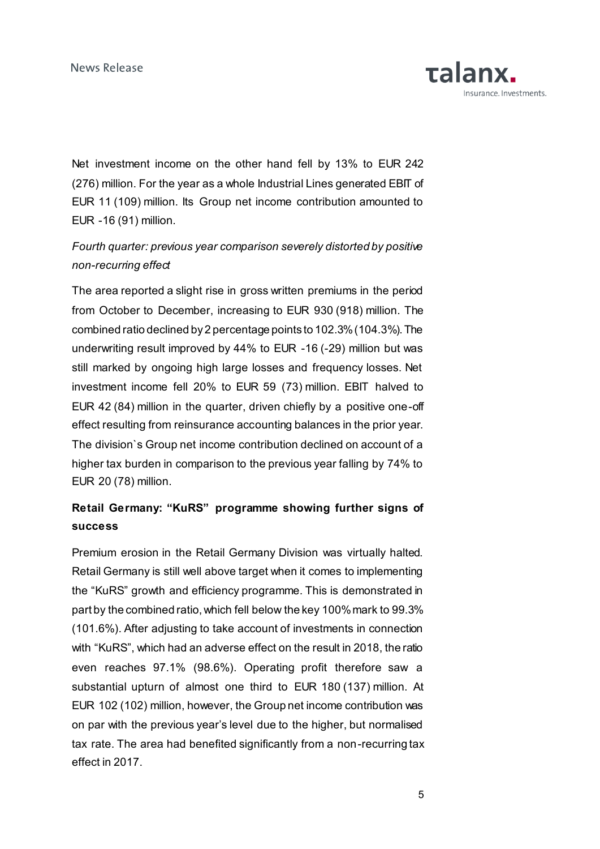Net investment income on the other hand fell by 13% to EUR 242 (276) million. For the year as a whole Industrial Lines generated EBIT of EUR 11 (109) million. Its Group net income contribution amounted to EUR -16 (91) million.

# *Fourth quarter: previous year comparison severely distorted by positive non-recurring effect*

The area reported a slight rise in gross written premiums in the period from October to December, increasing to EUR 930 (918) million. The combined ratio declined by 2 percentage points to 102.3% (104.3%). The underwriting result improved by 44% to EUR -16 (-29) million but was still marked by ongoing high large losses and frequency losses. Net investment income fell 20% to EUR 59 (73) million. EBIT halved to EUR 42 (84) million in the quarter, driven chiefly by a positive one-off effect resulting from reinsurance accounting balances in the prior year. The division`s Group net income contribution declined on account of a higher tax burden in comparison to the previous year falling by 74% to EUR 20 (78) million.

# **Retail Germany: "KuRS" programme showing further signs of success**

Premium erosion in the Retail Germany Division was virtually halted. Retail Germany is still well above target when it comes to implementing the "KuRS" growth and efficiency programme. This is demonstrated in part by the combined ratio, which fell below the key 100% mark to 99.3% (101.6%). After adjusting to take account of investments in connection with "KuRS", which had an adverse effect on the result in 2018, the ratio even reaches 97.1% (98.6%). Operating profit therefore saw a substantial upturn of almost one third to EUR 180 (137) million. At EUR 102 (102) million, however, the Group net income contribution was on par with the previous year's level due to the higher, but normalised tax rate. The area had benefited significantly from a non-recurring tax effect in 2017.

**TAlany**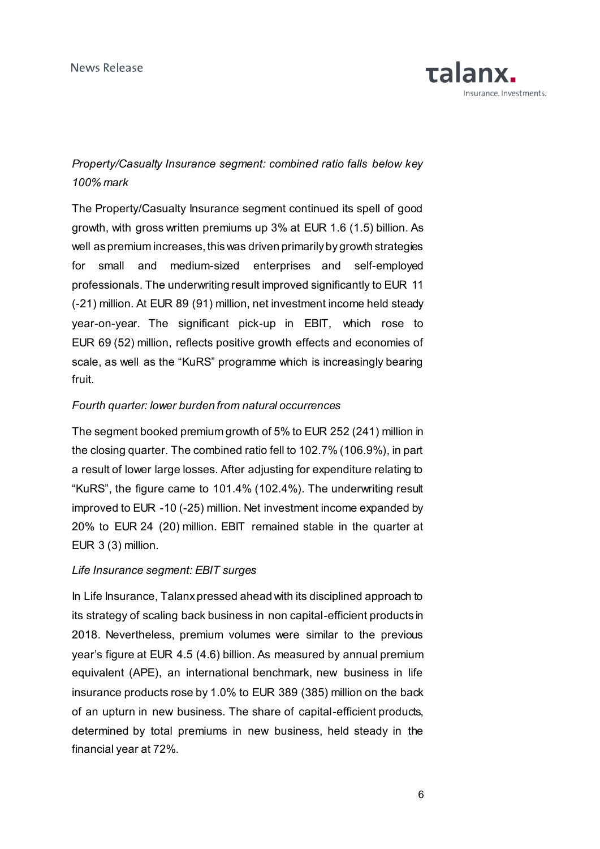

# *Property/Casualty Insurance segment: combined ratio falls below key 100% mark*

The Property/Casualty Insurance segment continued its spell of good growth, with gross written premiums up 3% at EUR 1.6 (1.5) billion. As well as premium increases, this was driven primarily by growth strategies for small and medium-sized enterprises and self-employed professionals. The underwriting result improved significantly to EUR 11 (-21) million. At EUR 89 (91) million, net investment income held steady year-on-year. The significant pick-up in EBIT, which rose to EUR 69 (52) million, reflects positive growth effects and economies of scale, as well as the "KuRS" programme which is increasingly bearing fruit.

### *Fourth quarter: lower burden from natural occurrences*

The segment booked premium growth of 5% to EUR 252 (241) million in the closing quarter. The combined ratio fell to 102.7% (106.9%), in part a result of lower large losses. After adjusting for expenditure relating to "KuRS", the figure came to 101.4% (102.4%). The underwriting result improved to EUR -10 (-25) million. Net investment income expanded by 20% to EUR 24 (20) million. EBIT remained stable in the quarter at EUR 3 (3) million.

#### *Life Insurance segment: EBIT surges*

In Life Insurance, Talanx pressed ahead with its disciplined approach to its strategy of scaling back business in non capital-efficient products in 2018. Nevertheless, premium volumes were similar to the previous year's figure at EUR 4.5 (4.6) billion. As measured by annual premium equivalent (APE), an international benchmark, new business in life insurance products rose by 1.0% to EUR 389 (385) million on the back of an upturn in new business. The share of capital-efficient products, determined by total premiums in new business, held steady in the financial year at 72%.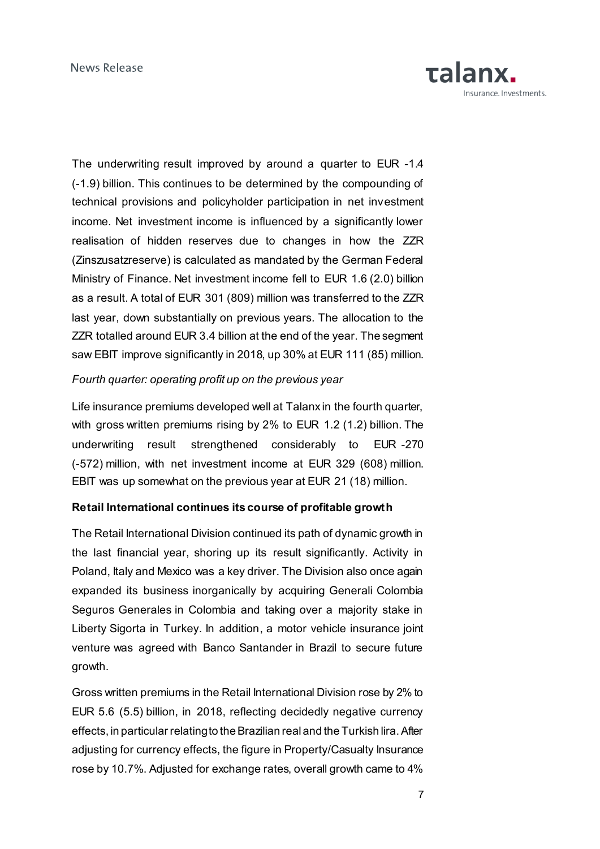

The underwriting result improved by around a quarter to EUR -1.4 (-1.9) billion. This continues to be determined by the compounding of technical provisions and policyholder participation in net investment income. Net investment income is influenced by a significantly lower realisation of hidden reserves due to changes in how the ZZR (Zinszusatzreserve) is calculated as mandated by the German Federal Ministry of Finance. Net investment income fell to EUR 1.6 (2.0) billion as a result. A total of EUR 301 (809) million was transferred to the ZZR last year, down substantially on previous years. The allocation to the ZZR totalled around EUR 3.4 billion at the end of the year. The segment saw EBIT improve significantly in 2018, up 30% at EUR 111 (85) million.

## *Fourth quarter: operating profit up on the previous year*

Life insurance premiums developed well at Talanx in the fourth quarter, with gross written premiums rising by 2% to EUR 1.2 (1.2) billion. The underwriting result strengthened considerably to EUR -270 (-572) million, with net investment income at EUR 329 (608) million. EBIT was up somewhat on the previous year at EUR 21 (18) million.

## **Retail International continues its course of profitable growth**

The Retail International Division continued its path of dynamic growth in the last financial year, shoring up its result significantly. Activity in Poland, Italy and Mexico was a key driver. The Division also once again expanded its business inorganically by acquiring Generali Colombia Seguros Generales in Colombia and taking over a majority stake in Liberty Sigorta in Turkey. In addition, a motor vehicle insurance joint venture was agreed with Banco Santander in Brazil to secure future growth.

Gross written premiums in the Retail International Division rose by 2% to EUR 5.6 (5.5) billion, in 2018, reflecting decidedly negative currency effects, in particular relating to the Brazilian real and the Turkish lira. After adjusting for currency effects, the figure in Property/Casualty Insurance rose by 10.7%. Adjusted for exchange rates, overall growth came to 4%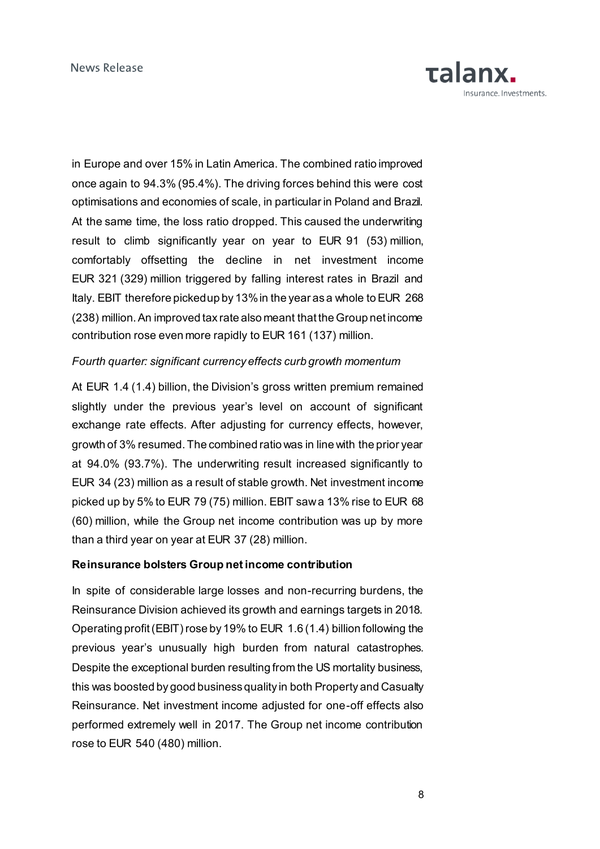in Europe and over 15% in Latin America. The combined ratio improved once again to 94.3% (95.4%). The driving forces behind this were cost optimisations and economies of scale, in particular in Poland and Brazil. At the same time, the loss ratio dropped. This caused the underwriting result to climb significantly year on year to EUR 91 (53) million, comfortably offsetting the decline in net investment income EUR 321 (329) million triggered by falling interest rates in Brazil and Italy. EBIT therefore picked up by 13% in the year as a whole to EUR 268 (238) million. An improved tax rate also meant that the Group net income contribution rose even more rapidly to EUR 161 (137) million.

### *Fourth quarter: significant currency effects curb growth momentum*

At EUR 1.4 (1.4) billion, the Division's gross written premium remained slightly under the previous year's level on account of significant exchange rate effects. After adjusting for currency effects, however, growth of 3% resumed. The combined ratio was in line with the prior year at 94.0% (93.7%). The underwriting result increased significantly to EUR 34 (23) million as a result of stable growth. Net investment income picked up by 5% to EUR 79 (75) million. EBIT saw a 13% rise to EUR 68 (60) million, while the Group net income contribution was up by more than a third year on year at EUR 37 (28) million.

#### **Reinsurance bolsters Group net income contribution**

In spite of considerable large losses and non-recurring burdens, the Reinsurance Division achieved its growth and earnings targets in 2018. Operating profit (EBIT) rose by 19% to EUR 1.6 (1.4) billion following the previous year's unusually high burden from natural catastrophes. Despite the exceptional burden resulting from the US mortality business, this was boosted by good business quality in both Property and Casualty Reinsurance. Net investment income adjusted for one-off effects also performed extremely well in 2017. The Group net income contribution rose to EUR 540 (480) million.

**Talanx.**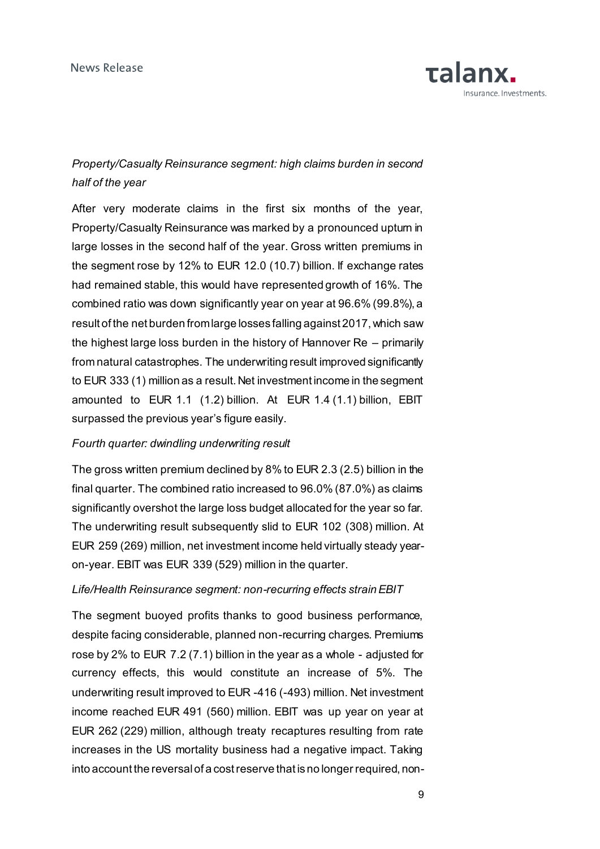

# *Property/Casualty Reinsurance segment: high claims burden in second half of the year*

After very moderate claims in the first six months of the year, Property/Casualty Reinsurance was marked by a pronounced uptum in large losses in the second half of the year. Gross written premiums in the segment rose by 12% to EUR 12.0 (10.7) billion. If exchange rates had remained stable, this would have represented growth of 16%. The combined ratio was down significantly year on year at 96.6% (99.8%), a result of the net burden from large losses falling against 2017, which saw the highest large loss burden in the history of Hannover Re – primarily from natural catastrophes. The underwriting result improved significantly to EUR 333 (1) million as a result. Net investment income in the segment amounted to EUR 1.1 (1.2) billion. At EUR 1.4 (1.1) billion, EBIT surpassed the previous year's figure easily.

#### *Fourth quarter: dwindling underwriting result*

The gross written premium declined by 8% to EUR 2.3 (2.5) billion in the final quarter. The combined ratio increased to 96.0% (87.0%) as claims significantly overshot the large loss budget allocated for the year so far. The underwriting result subsequently slid to EUR 102 (308) million. At EUR 259 (269) million, net investment income held virtually steady yearon-year. EBIT was EUR 339 (529) million in the quarter.

#### *Life/Health Reinsurance segment: non-recurring effects strain EBIT*

The segment buoyed profits thanks to good business performance, despite facing considerable, planned non-recurring charges. Premiums rose by 2% to EUR 7.2 (7.1) billion in the year as a whole - adjusted for currency effects, this would constitute an increase of 5%. The underwriting result improved to EUR -416 (-493) million. Net investment income reached EUR 491 (560) million. EBIT was up year on year at EUR 262 (229) million, although treaty recaptures resulting from rate increases in the US mortality business had a negative impact. Taking into account the reversal of a cost reserve that is no longer required, non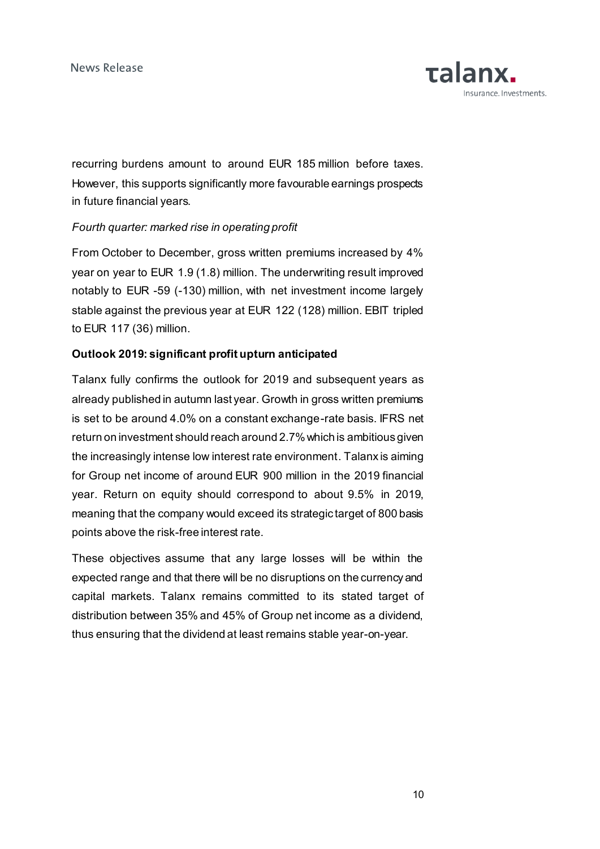recurring burdens amount to around EUR 185 million before taxes. However, this supports significantly more favourable earnings prospects in future financial years.

## *Fourth quarter: marked rise in operating profit*

From October to December, gross written premiums increased by 4% year on year to EUR 1.9 (1.8) million. The underwriting result improved notably to EUR -59 (-130) million, with net investment income largely stable against the previous year at EUR 122 (128) million. EBIT tripled to EUR 117 (36) million.

## **Outlook 2019: significant profit upturn anticipated**

Talanx fully confirms the outlook for 2019 and subsequent years as already published in autumn last year. Growth in gross written premiums is set to be around 4.0% on a constant exchange-rate basis. IFRS net return on investment should reach around 2.7%which is ambitious given the increasingly intense low interest rate environment. Talanx is aiming for Group net income of around EUR 900 million in the 2019 financial year. Return on equity should correspond to about 9.5% in 2019, meaning that the company would exceed its strategic target of 800 basis points above the risk-free interest rate.

These objectives assume that any large losses will be within the expected range and that there will be no disruptions on the currency and capital markets. Talanx remains committed to its stated target of distribution between 35% and 45% of Group net income as a dividend, thus ensuring that the dividend at least remains stable year-on-year.

**Talanx.**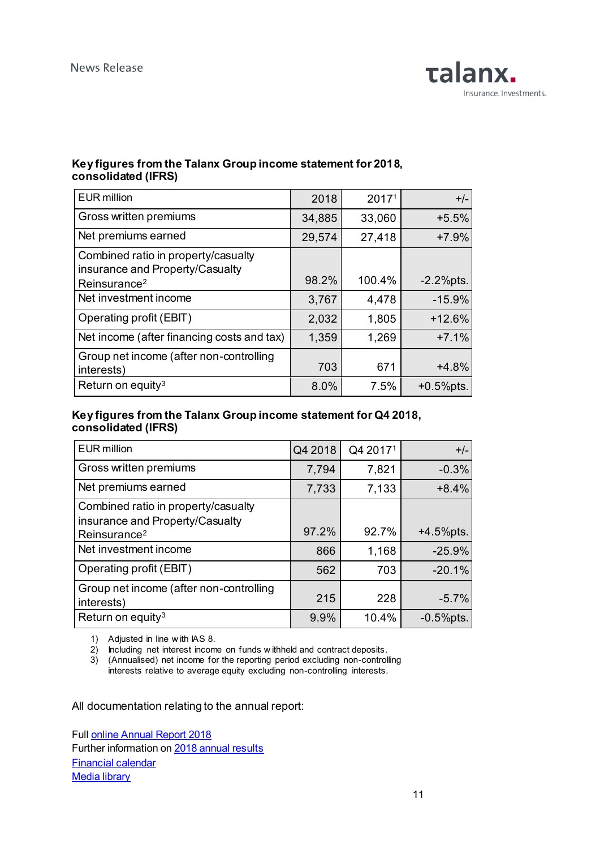

## **Key figures from the Talanx Group income statement for 2018, consolidated (IFRS)**

| <b>EUR</b> million                                                                                 | 2018   | 2017 <sup>1</sup> | $+/-$        |
|----------------------------------------------------------------------------------------------------|--------|-------------------|--------------|
| Gross written premiums                                                                             | 34,885 | 33,060            | $+5.5%$      |
| Net premiums earned                                                                                | 29,574 | 27,418            | $+7.9%$      |
| Combined ratio in property/casualty<br>insurance and Property/Casualty<br>Reinsurance <sup>2</sup> | 98.2%  | 100.4%            | $-2.2%$ pts. |
| Net investment income                                                                              | 3,767  | 4,478             | $-15.9%$     |
| Operating profit (EBIT)                                                                            | 2,032  | 1,805             | $+12.6%$     |
| Net income (after financing costs and tax)                                                         | 1,359  | 1,269             | $+7.1%$      |
| Group net income (after non-controlling<br>interests)                                              | 703    | 671               | $+4.8%$      |
| Return on equity <sup>3</sup>                                                                      | 8.0%   | 7.5%              | $+0.5%$ pts. |

### **Key figures from the Talanx Group income statement for Q4 2018, consolidated (IFRS)**

| <b>EUR</b> million                                                                                 | Q4 2018 | Q4 20171 | $+/-$        |
|----------------------------------------------------------------------------------------------------|---------|----------|--------------|
| Gross written premiums                                                                             | 7,794   | 7,821    | $-0.3%$      |
| Net premiums earned                                                                                | 7,733   | 7,133    | $+8.4%$      |
| Combined ratio in property/casualty<br>insurance and Property/Casualty<br>Reinsurance <sup>2</sup> | 97.2%   | 92.7%    | $+4.5%$ pts. |
| Net investment income                                                                              | 866     | 1,168    | $-25.9%$     |
| Operating profit (EBIT)                                                                            | 562     | 703      | $-20.1%$     |
| Group net income (after non-controlling<br>interests)                                              | 215     | 228      | $-5.7%$      |
| Return on equity <sup>3</sup>                                                                      | 9.9%    | 10.4%    | $-0.5%$ pts. |

1) Adjusted in line w ith IAS 8.

2) Including net interest income on funds w ithheld and contract deposits.

3) (Annualised) net income for the reporting period excluding non-controlling interests relative to average equity excluding non-controlling interests.

All documentation relating to the annual report:

Full [online Annual Report 2018](file://///talanxprod.zz/data/Public/TX/PR/Daten/2019/1.%20Presse/1.4.%20Presseveranstaltungen/1.4.1%20Bilanz-Pressekonferenz/Präsentation%20UM%20Q&A/UM/Übersetzung/annualreport2018.talanx.com) Further information o[n 2018 annual results](https://www.talanx.com/investor-relations/presentations-and-events/disclosure/2019.aspx?sc_lang=en) [Financial calendar](https://www.talanx.com/investor-relations/finanzkalender/termine.aspx?sc_lang=en) **[Media library](https://mediathek.talanx.de/)**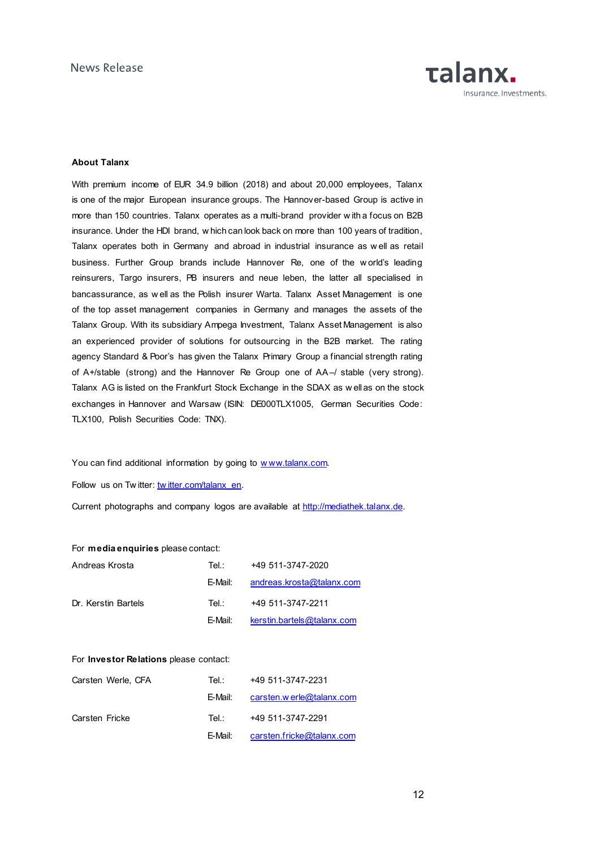

#### **About Talanx**

With premium income of EUR 34.9 billion (2018) and about 20,000 employees, Talanx is one of the major European insurance groups. The Hannover-based Group is active in more than 150 countries. Talanx operates as a multi-brand provider w ith a focus on B2B insurance. Under the HDI brand, w hich can look back on more than 100 years of tradition, Talanx operates both in Germany and abroad in industrial insurance as w ell as retail business. Further Group brands include Hannover Re, one of the w orld's leading reinsurers, Targo insurers, PB insurers and neue leben, the latter all specialised in bancassurance, as w ell as the Polish insurer Warta. Talanx Asset Management is one of the top asset management companies in Germany and manages the assets of the Talanx Group. With its subsidiary Ampega Investment, Talanx Asset Management is also an experienced provider of solutions for outsourcing in the B2B market. The rating agency Standard & Poor's has given the Talanx Primary Group a financial strength rating of A+/stable (strong) and the Hannover Re Group one of AA–/ stable (very strong). Talanx AG is listed on the Frankfurt Stock Exchange in the SDAX as w ell as on the stock exchanges in Hannover and Warsaw (ISIN: DE000TLX1005, German Securities Code: TLX100, Polish Securities Code: TNX).

You can find additional information by going to www.talanx.com.

Follow us on Tw itter: [tw itter.com/talanx\\_en.](https://twitter.com/talanx_en)

Current photographs and company logos are available at [http://mediathek.talanx.de.](http://mediathek.talanx.de/)

#### For **media enquiries** please contact:

| Andreas Krosta      | Tel∴    | +49 511-3747-2020          |
|---------------------|---------|----------------------------|
|                     | F-Mail: | andreas.krosta@talanx.com  |
| Dr. Kerstin Bartels | Tel∴    | +49 511-3747-2211          |
|                     | F-Mail: | kerstin.bartels@talanx.com |

#### For **Investor Relations** please contact:

| Carsten Werle, CFA | Tel∴    | +49 511-3747-2231                 |
|--------------------|---------|-----------------------------------|
|                    | E-Mail: | carsten.werle@talanx.com          |
| Carsten Fricke     | Tel :   | +49 511-3747-2291                 |
|                    |         | E-Mail: carsten.fricke@talanx.com |